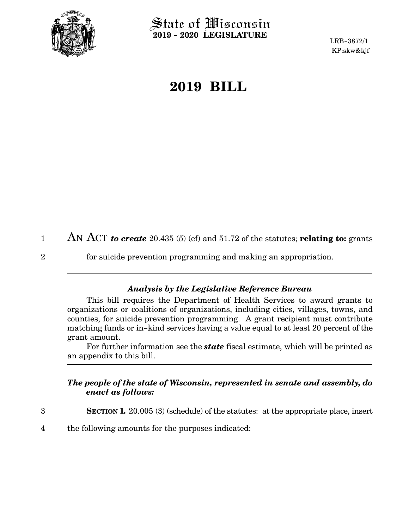

 $\operatorname{\mathsf{State}}$  of Wisconsin **2019 - 2020 LEGISLATURE**

LRB-3872/1 KP:skw&kjf

## **2019 BILL**

AN ACT *to create* 20.435 (5) (ef) and 51.72 of the statutes; **relating to:** grants 1

2

for suicide prevention programming and making an appropriation.

## *Analysis by the Legislative Reference Bureau*

This bill requires the Department of Health Services to award grants to organizations or coalitions of organizations, including cities, villages, towns, and counties, for suicide prevention programming. A grant recipient must contribute matching funds or in-kind services having a value equal to at least 20 percent of the grant amount.

For further information see the *state* fiscal estimate, which will be printed as an appendix to this bill.

## *The people of the state of Wisconsin, represented in senate and assembly, do enact as follows:*

- **SECTION 1.** 20.005 (3) (schedule) of the statutes: at the appropriate place, insert 3
- the following amounts for the purposes indicated: 4